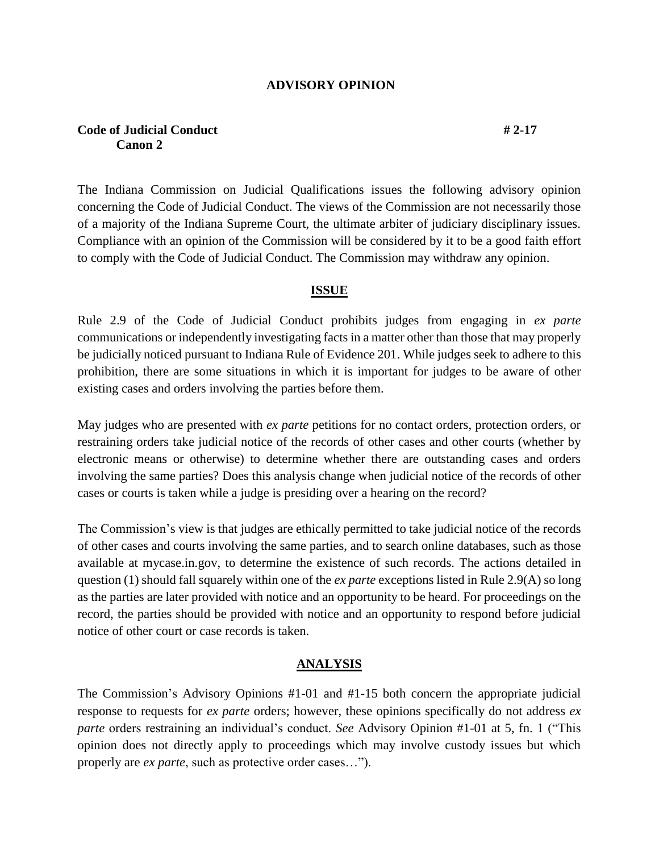#### **ADVISORY OPINION**

#### **Code of Judicial Conduct # 2-17 Canon 2**

The Indiana Commission on Judicial Qualifications issues the following advisory opinion concerning the Code of Judicial Conduct. The views of the Commission are not necessarily those of a majority of the Indiana Supreme Court, the ultimate arbiter of judiciary disciplinary issues. Compliance with an opinion of the Commission will be considered by it to be a good faith effort to comply with the Code of Judicial Conduct. The Commission may withdraw any opinion.

#### **ISSUE**

Rule 2.9 of the Code of Judicial Conduct prohibits judges from engaging in *ex parte* communications or independently investigating facts in a matter other than those that may properly be judicially noticed pursuant to Indiana Rule of Evidence 201. While judges seek to adhere to this prohibition, there are some situations in which it is important for judges to be aware of other existing cases and orders involving the parties before them.

May judges who are presented with *ex parte* petitions for no contact orders, protection orders, or restraining orders take judicial notice of the records of other cases and other courts (whether by electronic means or otherwise) to determine whether there are outstanding cases and orders involving the same parties? Does this analysis change when judicial notice of the records of other cases or courts is taken while a judge is presiding over a hearing on the record?

The Commission's view is that judges are ethically permitted to take judicial notice of the records of other cases and courts involving the same parties, and to search online databases, such as those available at mycase.in.gov, to determine the existence of such records. The actions detailed in question (1) should fall squarely within one of the *ex parte* exceptions listed in Rule 2.9(A) so long as the parties are later provided with notice and an opportunity to be heard. For proceedings on the record, the parties should be provided with notice and an opportunity to respond before judicial notice of other court or case records is taken.

#### **ANALYSIS**

The Commission's Advisory Opinions #1-01 and #1-15 both concern the appropriate judicial response to requests for *ex parte* orders; however, these opinions specifically do not address *ex parte* orders restraining an individual's conduct. *See* Advisory Opinion #1-01 at 5, fn. 1 ("This opinion does not directly apply to proceedings which may involve custody issues but which properly are *ex parte*, such as protective order cases…").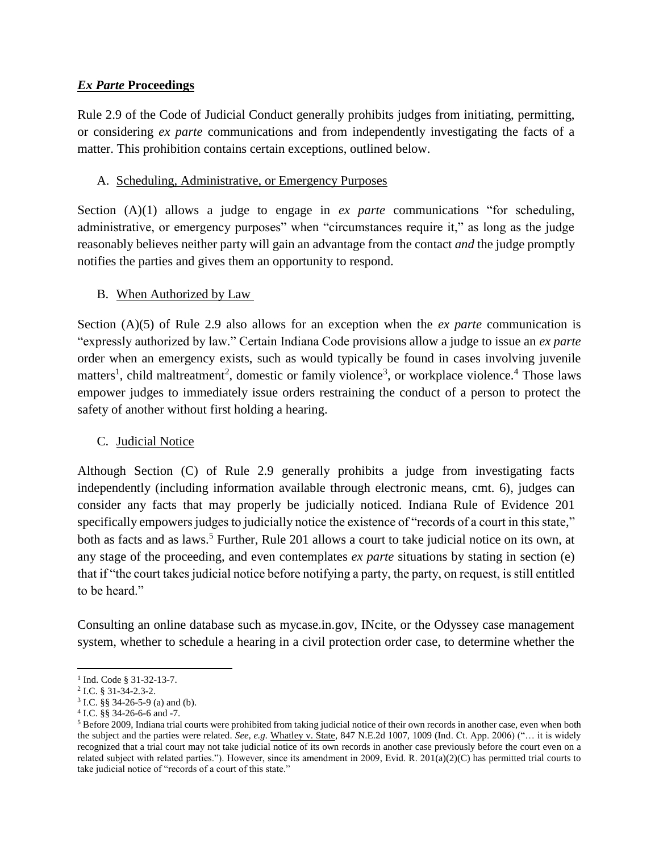## *Ex Parte* **Proceedings**

Rule 2.9 of the Code of Judicial Conduct generally prohibits judges from initiating, permitting, or considering *ex parte* communications and from independently investigating the facts of a matter. This prohibition contains certain exceptions, outlined below.

## A. Scheduling, Administrative, or Emergency Purposes

Section (A)(1) allows a judge to engage in *ex parte* communications "for scheduling, administrative, or emergency purposes" when "circumstances require it," as long as the judge reasonably believes neither party will gain an advantage from the contact *and* the judge promptly notifies the parties and gives them an opportunity to respond.

# B. When Authorized by Law

Section (A)(5) of Rule 2.9 also allows for an exception when the *ex parte* communication is "expressly authorized by law." Certain Indiana Code provisions allow a judge to issue an *ex parte* order when an emergency exists, such as would typically be found in cases involving juvenile matters<sup>1</sup>, child maltreatment<sup>2</sup>, domestic or family violence<sup>3</sup>, or workplace violence.<sup>4</sup> Those laws empower judges to immediately issue orders restraining the conduct of a person to protect the safety of another without first holding a hearing.

### C. Judicial Notice

Although Section (C) of Rule 2.9 generally prohibits a judge from investigating facts independently (including information available through electronic means, cmt. 6), judges can consider any facts that may properly be judicially noticed. Indiana Rule of Evidence 201 specifically empowers judges to judicially notice the existence of "records of a court in this state," both as facts and as laws.<sup>5</sup> Further, Rule 201 allows a court to take judicial notice on its own, at any stage of the proceeding, and even contemplates *ex parte* situations by stating in section (e) that if "the court takes judicial notice before notifying a party, the party, on request, is still entitled to be heard."

Consulting an online database such as mycase.in.gov, INcite, or the Odyssey case management system, whether to schedule a hearing in a civil protection order case, to determine whether the

 $\overline{\phantom{a}}$ <sup>1</sup> Ind. Code § 31-32-13-7.

<sup>2</sup> I.C. § 31-34-2.3-2.

 $3$  I.C. §§ 34-26-5-9 (a) and (b).

<sup>4</sup> I.C. §§ 34-26-6-6 and -7.

<sup>5</sup> Before 2009, Indiana trial courts were prohibited from taking judicial notice of their own records in another case, even when both the subject and the parties were related. *See, e.g.* Whatley v. State, 847 N.E.2d 1007, 1009 (Ind. Ct. App. 2006) ("… it is widely recognized that a trial court may not take judicial notice of its own records in another case previously before the court even on a related subject with related parties."). However, since its amendment in 2009, Evid. R. 201(a)(2)(C) has permitted trial courts to take judicial notice of "records of a court of this state."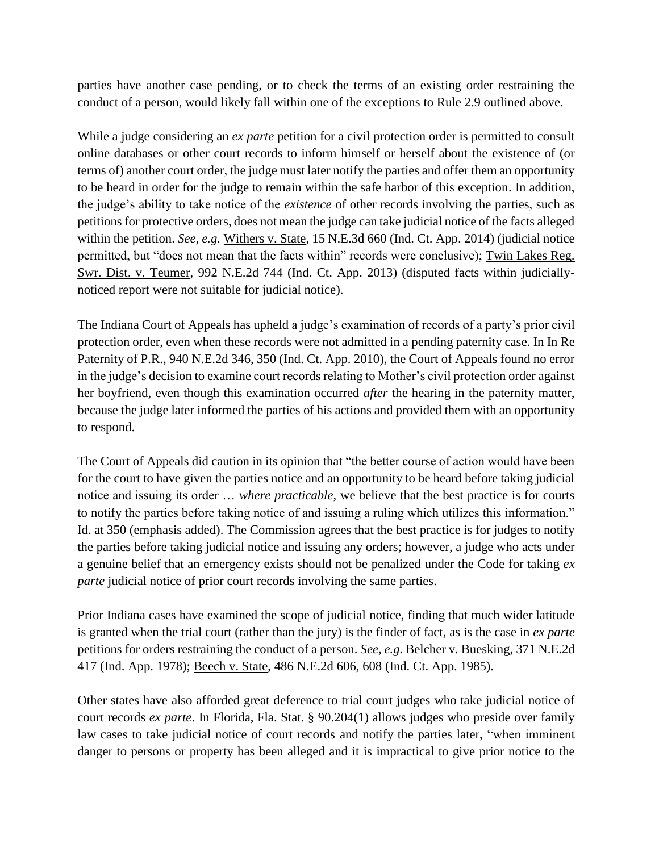parties have another case pending, or to check the terms of an existing order restraining the conduct of a person, would likely fall within one of the exceptions to Rule 2.9 outlined above.

While a judge considering an *ex parte* petition for a civil protection order is permitted to consult online databases or other court records to inform himself or herself about the existence of (or terms of) another court order, the judge must later notify the parties and offer them an opportunity to be heard in order for the judge to remain within the safe harbor of this exception. In addition, the judge's ability to take notice of the *existence* of other records involving the parties, such as petitions for protective orders, does not mean the judge can take judicial notice of the facts alleged within the petition. *See, e.g.* Withers v. State, 15 N.E.3d 660 (Ind. Ct. App. 2014) (judicial notice permitted, but "does not mean that the facts within" records were conclusive); Twin Lakes Reg. Swr. Dist. v. Teumer, 992 N.E.2d 744 (Ind. Ct. App. 2013) (disputed facts within judiciallynoticed report were not suitable for judicial notice).

The Indiana Court of Appeals has upheld a judge's examination of records of a party's prior civil protection order, even when these records were not admitted in a pending paternity case. In In Re Paternity of P.R., 940 N.E.2d 346, 350 (Ind. Ct. App. 2010), the Court of Appeals found no error in the judge's decision to examine court records relating to Mother's civil protection order against her boyfriend, even though this examination occurred *after* the hearing in the paternity matter, because the judge later informed the parties of his actions and provided them with an opportunity to respond.

The Court of Appeals did caution in its opinion that "the better course of action would have been for the court to have given the parties notice and an opportunity to be heard before taking judicial notice and issuing its order … *where practicable*, we believe that the best practice is for courts to notify the parties before taking notice of and issuing a ruling which utilizes this information." Id. at 350 (emphasis added). The Commission agrees that the best practice is for judges to notify the parties before taking judicial notice and issuing any orders; however, a judge who acts under a genuine belief that an emergency exists should not be penalized under the Code for taking *ex parte* judicial notice of prior court records involving the same parties.

Prior Indiana cases have examined the scope of judicial notice, finding that much wider latitude is granted when the trial court (rather than the jury) is the finder of fact, as is the case in *ex parte* petitions for orders restraining the conduct of a person. *See, e.g.* Belcher v. Buesking, 371 N.E.2d 417 (Ind. App. 1978); Beech v. State, 486 N.E.2d 606, 608 (Ind. Ct. App. 1985).

Other states have also afforded great deference to trial court judges who take judicial notice of court records *ex parte*. In Florida, Fla. Stat. § 90.204(1) allows judges who preside over family law cases to take judicial notice of court records and notify the parties later, "when imminent danger to persons or property has been alleged and it is impractical to give prior notice to the